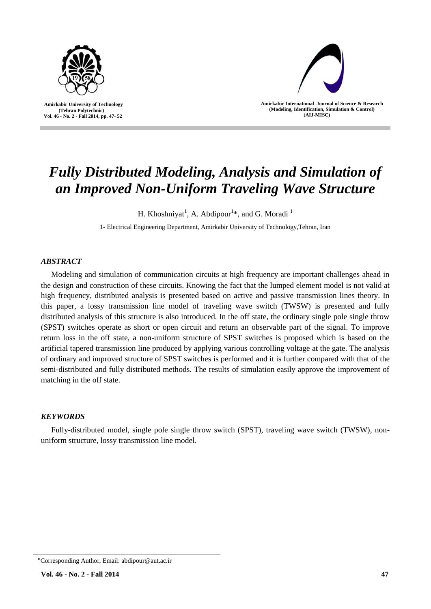

 **Amirkabir University of Technology (Tehran Polytechnic) Vol. 46 - No. 2 - Fall 2014, pp. 47- 52**



**Amirkabir International Journal of Science & Research (Modeling, Identification, Simulation & Control) )AIJ-MISC)**

# *Fully Distributed Modeling, Analysis and Simulation of an Improved Non-Uniform Traveling Wave Structure*

H. Khoshniyat<sup>1</sup>, A. Abdipour<sup>1</sup>\*, and G. Moradi<sup>1</sup>

1- Electrical Engineering Department, Amirkabir University of Technology,Tehran, Iran

# *ABSTRACT*

Modeling and simulation of communication circuits at high frequency are important challenges ahead in the design and construction of these circuits. Knowing the fact that the lumped element model is not valid at high frequency, distributed analysis is presented based on active and passive transmission lines theory. In this paper, a lossy transmission line model of traveling wave switch (TWSW) is presented and fully distributed analysis of this structure is also introduced. In the off state, the ordinary single pole single throw (SPST) switches operate as short or open circuit and return an observable part of the signal. To improve return loss in the off state, a non-uniform structure of SPST switches is proposed which is based on the artificial tapered transmission line produced by applying various controlling voltage at the gate. The analysis of ordinary and improved structure of SPST switches is performed and it is further compared with that of the semi-distributed and fully distributed methods. The results of simulation easily approve the improvement of matching in the off state.

# *KEYWORDS*

Fully-distributed model, single pole single throw switch (SPST), traveling wave switch (TWSW), nonuniform structure, lossy transmission line model.

<sup>٭</sup>Corresponding Author, Email: abdipour@aut.ac.ir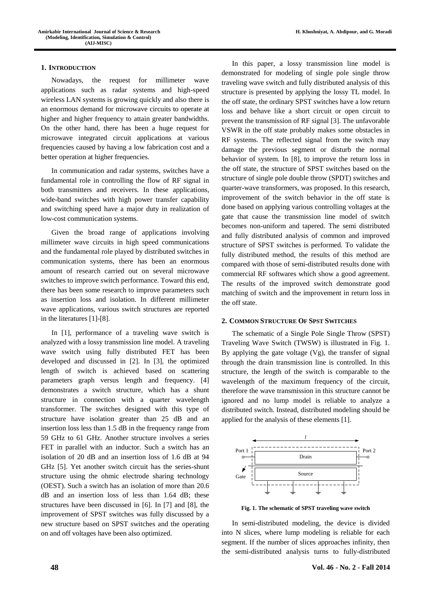### **1. INTRODUCTION**

Nowadays, the request for millimeter wave applications such as radar systems and high-speed wireless LAN systems is growing quickly and also there is an enormous demand for microwave circuits to operate at higher and higher frequency to attain greater bandwidths. On the other hand, there has been a huge request for microwave integrated circuit applications at various frequencies caused by having a low fabrication cost and a better operation at higher frequencies.

In communication and radar systems, switches have a fundamental role in controlling the flow of RF signal in both transmitters and receivers. In these applications, wide-band switches with high power transfer capability and switching speed have a major duty in realization of low-cost communication systems.

Given the broad range of applications involving millimeter wave circuits in high speed communications and the fundamental role played by distributed switches in communication systems, there has been an enormous amount of research carried out on several microwave switches to improve switch performance. Toward this end, there has been some research to improve parameters such as insertion loss and isolation. In different millimeter wave applications, various switch structures are reported in the literatures [1]-[8].

In [1], performance of a traveling wave switch is analyzed with a lossy transmission line model. A traveling wave switch using fully distributed FET has been developed and discussed in [2]. In [3], the optimized length of switch is achieved based on scattering parameters graph versus length and frequency. [4] demonstrates a switch structure, which has a shunt structure in connection with a quarter wavelength transformer. The switches designed with this type of structure have isolation greater than 25 dB and an insertion loss less than 1.5 dB in the frequency range from 59 GHz to 61 GHz. Another structure involves a series FET in parallel with an inductor. Such a switch has an isolation of 20 dB and an insertion loss of 1.6 dB at 94 GHz [5]. Yet another switch circuit has the series-shunt structure using the ohmic electrode sharing technology (OEST). Such a switch has an isolation of more than 20.6 dB and an insertion loss of less than 1.64 dB; these structures have been discussed in [6]. In [7] and [8], the improvement of SPST switches was fully discussed by a new structure based on SPST switches and the operating on and off voltages have been also optimized.

In this paper, a lossy transmission line model is demonstrated for modeling of single pole single throw traveling wave switch and fully distributed analysis of this structure is presented by applying the lossy TL model. In the off state, the ordinary SPST switches have a low return loss and behave like a short circuit or open circuit to prevent the transmission of RF signal [3]. The unfavorable VSWR in the off state probably makes some obstacles in RF systems. The reflected signal from the switch may damage the previous segment or disturb the normal behavior of system. In [8], to improve the return loss in the off state, the structure of SPST switches based on the structure of single pole double throw (SPDT) switches and quarter-wave transformers, was proposed. In this research, improvement of the switch behavior in the off state is done based on applying various controlling voltages at the gate that cause the transmission line model of switch becomes non-uniform and tapered. The semi distributed and fully distributed analysis of common and improved structure of SPST switches is performed. To validate the fully distributed method, the results of this method are compared with those of semi-distributed results done with commercial RF softwares which show a good agreement. The results of the improved switch demonstrate good matching of switch and the improvement in return loss in the off state.

## **2. COMMON STRUCTURE OF SPST SWITCHES**

The schematic of a Single Pole Single Throw (SPST) Traveling Wave Switch (TWSW) is illustrated in Fig. 1. By applying the gate voltage  $(Vg)$ , the transfer of signal through the drain transmission line is controlled. In this structure, the length of the switch is comparable to the wavelength of the maximum frequency of the circuit, therefore the wave transmission in this structure cannot be ignored and no lump model is reliable to analyze a distributed switch. Instead, distributed modeling should be applied for the analysis of these elements [1].



**Fig. 1. The schematic of SPST traveling wave switch**

In semi-distributed modeling, the device is divided into N slices, where lump modeling is reliable for each segment. If the number of slices approaches infinity, then the semi-distributed analysis turns to fully-distributed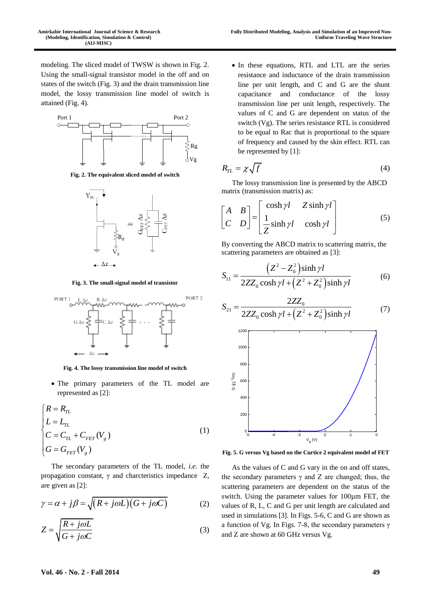modeling. The sliced model of TWSW is shown in Fig. 2. Using the small-signal transistor model in the off and on states of the switch (Fig. 3) and the drain transmission line model, the lossy transmission line model of switch is attained (Fig. 4).



**Fig. 2. The equivalent sliced model of switch**



**Fig. 3. The small-signal model of transistor**



**Fig. 4. The lossy transmission line model of switch**

 The primary parameters of the TL model are represented as [2]:

$$
\begin{cases}\nR = R_{TL} \\
L = L_{TL} \\
C = C_{TL} + C_{FET}(V_g) \\
G = G_{FET}(V_g)\n\end{cases}
$$
\n(1)

The secondary parameters of the TL model, *i.e.* the propagation constant, γ and charcteristics impedance Z, are given as [2]:

$$
\gamma = \alpha + j\beta = \sqrt{(R + j\omega L)(G + j\omega C)}
$$
 (2)

$$
Z = \sqrt{\frac{R + j\omega L}{G + j\omega C}}\tag{3}
$$

 In these equations, RTL and LTL are the series resistance and inductance of the drain transmission line per unit length, and C and G are the shunt capacitance and conductance of the lossy transmission line per unit length, respectively. The values of C and G are dependent on status of the switch (Vg). The series resistance RTL is considered to be equal to Rac that is proportional to the square of frequency and caused by the skin effect. RTL can be represented by [1]:

$$
R_{TL} = \chi \sqrt{f} \tag{4}
$$

The lossy transmission line is presented by the ABCD

matrix (transmission matrix) as:  
\n
$$
\begin{bmatrix} A & B \\ C & D \end{bmatrix} = \begin{bmatrix} \cosh \gamma l & Z \sinh \gamma l \\ \frac{1}{Z} \sinh \gamma l & \cosh \gamma l \end{bmatrix}
$$
\n(5)

By converting the ABCD matrix to scattering matrix, the

scattering parameters are obtained as [3]:  
\n
$$
S_{11} = \frac{(Z^2 - Z_0^2)\sinh \gamma l}{2ZZ_0 \cosh \gamma l + (Z^2 + Z_0^2)\sinh \gamma l}
$$
\n(6)

$$
S_{21} = \frac{2ZZ_0}{2ZZ_0 \cosh \gamma l + (Z^2 + Z_0^2) \sinh \gamma l}
$$
(7)



**Fig. 5. G versus Vg based on the Curtice 2 equivalent model of FET**

As the values of C and G vary in the on and off states, the secondary parameters  $\gamma$  and Z are changed; thus, the scattering parameters are dependent on the status of the switch. Using the parameter values for 100µm FET, the values of R, L, C and G per unit length are calculated and used in simulations [3]. In Figs. 5-6, C and G are shown as a function of Vg. In Figs. 7-8, the secondary parameters γ and Z are shown at 60 GHz versus Vg.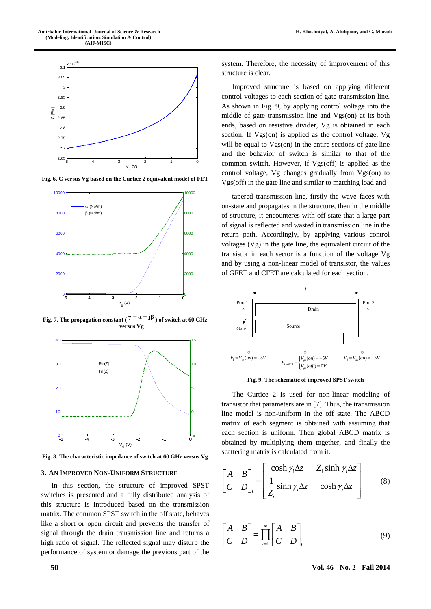

**Fig. 6. C versus Vg based on the Curtice 2 equivalent model of FET**



**Fig. 7.** The propagation constant ( $\gamma = \alpha + j\beta$ ) of switch at 60 GHz **versus Vg**



**Fig. 8. The characteristic impedance of switch at 60 GHz versus Vg**

#### **3. AN IMPROVED NON-UNIFORM STRUCTURE**

In this section, the structure of improved SPST switches is presented and a fully distributed analysis of this structure is introduced based on the transmission matrix. The common SPST switch in the off state, behaves like a short or open circuit and prevents the transfer of signal through the drain transmission line and returns a high ratio of signal. The reflected signal may disturb the performance of system or damage the previous part of the

system. Therefore, the necessity of improvement of this structure is clear.

Improved structure is based on applying different control voltages to each section of gate transmission line. As shown in Fig. 9, by applying control voltage into the middle of gate transmission line and Vgs(on) at its both ends, based on resistive divider, Vg is obtained in each section. If Vgs(on) is applied as the control voltage, Vg will be equal to  $Vgs(on)$  in the entire sections of gate line and the behavior of switch is similar to that of the common switch. However, if Vgs(off) is applied as the control voltage, Vg changes gradually from Vgs(on) to Vgs(off) in the gate line and similar to matching load and

tapered transmission line, firstly the wave faces with on-state and propagates in the structure, then in the middle of structure, it encounteres with off-state that a large part of signal is reflected and wasted in transmission line in the return path. Accordingly, by applying various control voltages  $(Vg)$  in the gate line, the equivalent circuit of the transistor in each sector is a function of the voltage Vg and by using a non-linear model of transistor, the values of GFET and CFET are calculated for each section.



**Fig. 9. The schematic of improved SPST switch**

The Curtice 2 is used for non-linear modeling of transistor that parameters are in [7]. Thus, the transmission line model is non-uniform in the off state. The ABCD matrix of each segment is obtained with assuming that each section is uniform. Then global ABCD matrix is obtained by multiplying them together, and finally the

scattering matrix is calculated from it.  
\n
$$
\begin{bmatrix}\nA & B \\
C & D\n\end{bmatrix}_{i} = \begin{bmatrix}\n\cosh \gamma_i \Delta z & Z_i \sinh \gamma_i \Delta z \\
\frac{1}{Z_i} \sinh \gamma_i \Delta z & \cosh \gamma_i \Delta z\n\end{bmatrix}
$$
\n(8)

$$
\begin{bmatrix} A & B \\ C & D \end{bmatrix} = \prod_{i=1}^{N} \begin{bmatrix} A & B \\ C & D \end{bmatrix}_{i}
$$
 (9)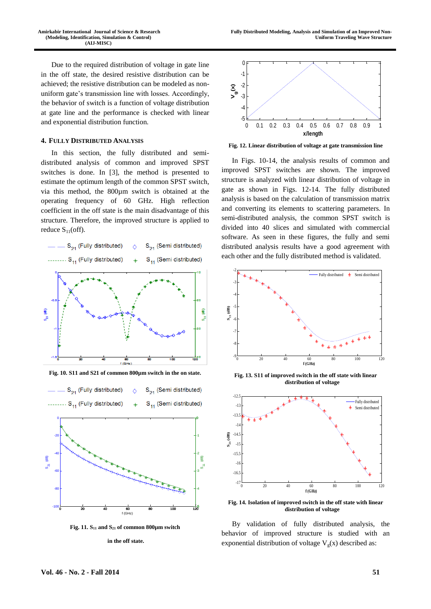Due to the required distribution of voltage in gate line in the off state, the desired resistive distribution can be achieved; the resistive distribution can be modeled as nonuniform gate's transmission line with losses. Accordingly, the behavior of switch is a function of voltage distribution at gate line and the performance is checked with linear and exponential distribution function.

## **4. FULLY DISTRIBUTED ANALYSIS**

In this section, the fully distributed and semidistributed analysis of common and improved SPST switches is done. In [3], the method is presented to estimate the optimum length of the common SPST switch, via this method, the 800µm switch is obtained at the operating frequency of 60 GHz. High reflection coefficient in the off state is the main disadvantage of this structure. Therefore, the improved structure is applied to reduce  $S_{11}$ (off).



**Fig. 11.**  $S_{11}$  and  $S_{21}$  of common 800 $\mu$ m switch

#### **in the off state.**



**Fig. 12. Linear distribution of voltage at gate transmission line**

In Figs. 10-14, the analysis results of common and improved SPST switches are shown. The improved structure is analyzed with linear distribution of voltage in gate as shown in Figs. 12-14. The fully distributed analysis is based on the calculation of transmission matrix and converting its elements to scattering parameters. In semi-distributed analysis, the common SPST switch is divided into 40 slices and simulated with commercial software. As seen in these figures, the fully and semi distributed analysis results have a good agreement with each other and the fully distributed method is validated.



**Fig. 13. S11 of improved switch in the off state with linear distribution of voltage**



**Fig. 14. Isolation of improved switch in the off state with linear distribution of voltage**

By validation of fully distributed analysis, the behavior of improved structure is studied with an exponential distribution of voltage  $V_g(x)$  described as: